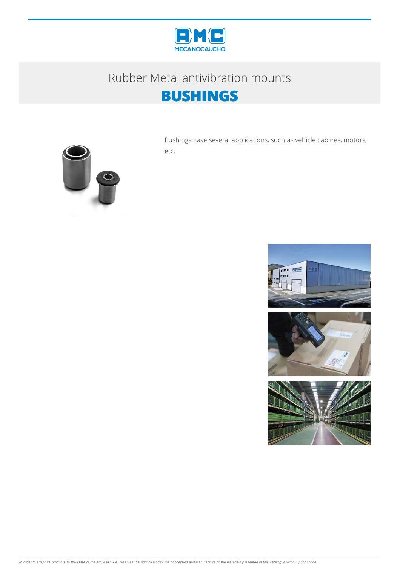

## Rubber Metal antivibration mounts **BUSHINGS**



Bushings have several applications, such as vehicle cabines, motors, etc.